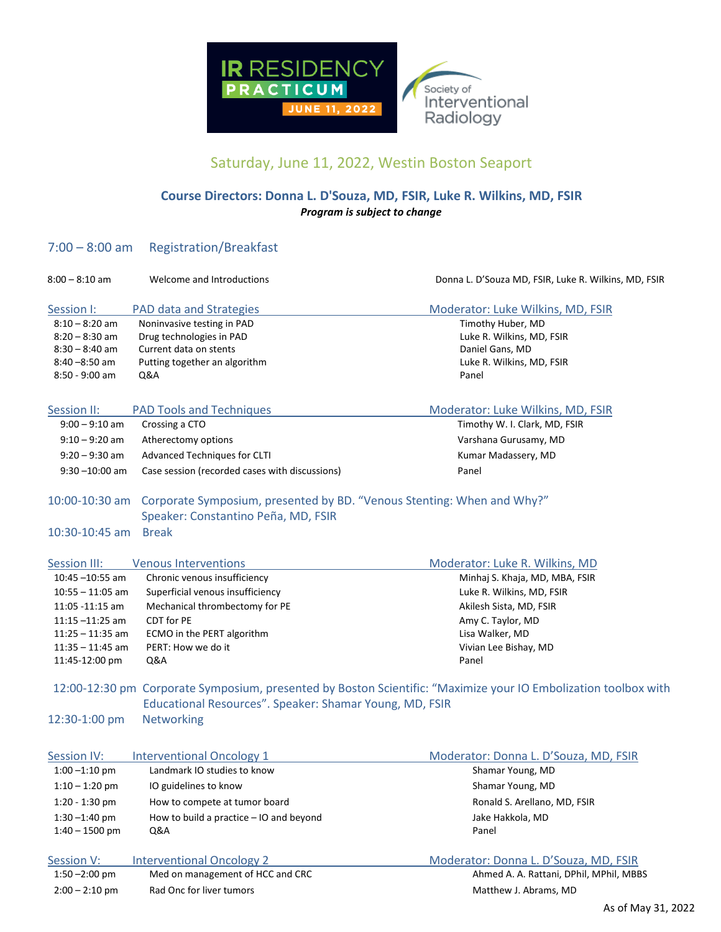

## Saturday, June 11, 2022, Westin Boston Seaport

## **Course Directors: Donna L. D'Souza, MD, FSIR, Luke R. Wilkins, MD, FSIR** *Program is subject to change*

## 7:00 – 8:00 am Registration/Breakfast

| $8:00 - 8:10$ am   | Welcome and Introductions                                              | Donna L. D'Souza MD, FSIR, Luke R. Wilkins, MD, FSIR                                                            |
|--------------------|------------------------------------------------------------------------|-----------------------------------------------------------------------------------------------------------------|
| Session I:         | <b>PAD data and Strategies</b>                                         | Moderator: Luke Wilkins, MD, FSIR                                                                               |
| $8:10 - 8:20$ am   | Noninvasive testing in PAD                                             | Timothy Huber, MD                                                                                               |
| $8:20 - 8:30$ am   | Drug technologies in PAD                                               | Luke R. Wilkins, MD, FSIR                                                                                       |
| $8:30 - 8:40$ am   | Current data on stents                                                 | Daniel Gans, MD                                                                                                 |
| $8:40 - 8:50$ am   | Putting together an algorithm                                          | Luke R. Wilkins, MD, FSIR                                                                                       |
| $8:50 - 9:00$ am   | Q&A                                                                    | Panel                                                                                                           |
| Session II:        | <b>PAD Tools and Techniques</b>                                        | Moderator: Luke Wilkins, MD, FSIR                                                                               |
| $9:00 - 9:10$ am   | Crossing a CTO                                                         | Timothy W. I. Clark, MD, FSIR                                                                                   |
| $9:10 - 9:20$ am   | Atherectomy options                                                    | Varshana Gurusamy, MD                                                                                           |
| $9:20 - 9:30$ am   | Advanced Techniques for CLTI                                           | Kumar Madassery, MD                                                                                             |
| $9:30 - 10:00$ am  | Case session (recorded cases with discussions)                         | Panel                                                                                                           |
| 10:00-10:30 am     | Corporate Symposium, presented by BD. "Venous Stenting: When and Why?" |                                                                                                                 |
|                    | Speaker: Constantino Peña, MD, FSIR                                    |                                                                                                                 |
| $10:30 - 10:45$ am | <b>Break</b>                                                           |                                                                                                                 |
| Session III:       | <b>Venous Interventions</b>                                            | Moderator: Luke R. Wilkins, MD                                                                                  |
| $10:45 - 10:55$ am | Chronic venous insufficiency                                           | Minhaj S. Khaja, MD, MBA, FSIR                                                                                  |
| $10:55 - 11:05$ am | Superficial venous insufficiency                                       | Luke R. Wilkins, MD, FSIR                                                                                       |
| 11:05 -11:15 am    | Mechanical thrombectomy for PE                                         | Akilesh Sista, MD, FSIR                                                                                         |
| $11:15 - 11:25$ am | CDT for PE                                                             | Amy C. Taylor, MD                                                                                               |
| $11:25 - 11:35$ am | ECMO in the PERT algorithm                                             | Lisa Walker, MD                                                                                                 |
| $11:35 - 11:45$ am | PERT: How we do it                                                     | Vivian Lee Bishay, MD                                                                                           |
| 11:45-12:00 pm     | Q&A                                                                    | Panel                                                                                                           |
|                    |                                                                        | 12:00-12:30 pm Corporate Symposium, presented by Boston Scientific: "Maximize your IO Embolization toolbox with |
|                    | Educational Resources". Speaker: Shamar Young, MD, FSIR                |                                                                                                                 |
| 12:30-1:00 pm      | Networking                                                             |                                                                                                                 |
| Session IV:        | <b>Interventional Oncology 1</b>                                       | Moderator: Donna L. D'Souza, MD, FSIR                                                                           |
| $1:00 - 1:10$ pm   | Landmark IO studies to know                                            | Shamar Young, MD                                                                                                |
| $1:10 - 1:20$ pm   | IO guidelines to know                                                  | Shamar Young, MD                                                                                                |
| $1:20 - 1:30$ pm   | How to compete at tumor board                                          | Ronald S. Arellano, MD, FSIR                                                                                    |
| $1:30 - 1:40$ pm   | How to build a practice - IO and beyond                                | Jake Hakkola, MD                                                                                                |
| $1:40 - 1500$ pm   | Q&A                                                                    | Panel                                                                                                           |
| Session V:         | <b>Interventional Oncology 2</b>                                       | Moderator: Donna L. D'Souza, MD, FSIR                                                                           |
| $1:50 - 2:00$ pm   | Med on management of HCC and CRC                                       | Ahmed A. A. Rattani, DPhil, MPhil, MBBS                                                                         |
| $2:00 - 2:10$ pm   | Rad Onc for liver tumors                                               | Matthew J. Abrams, MD                                                                                           |